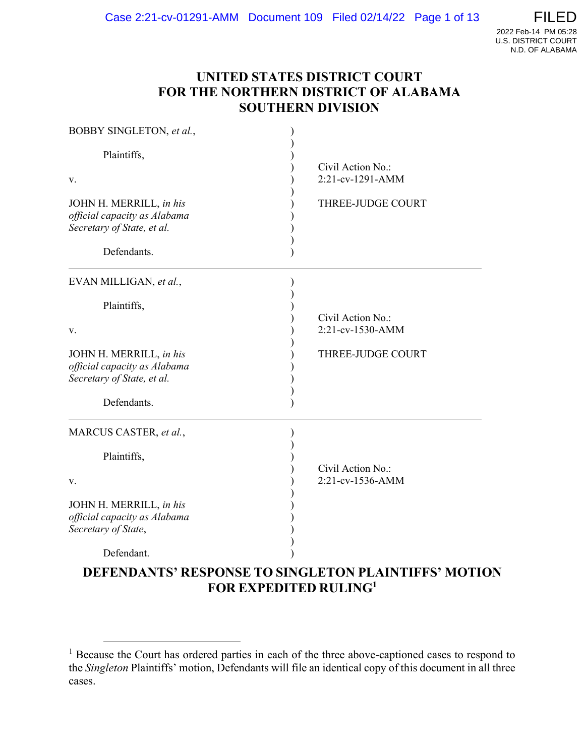### UNITED STATES DISTRICT COURT FOR THE NORTHERN DISTRICT OF ALABAMA SOUTHERN DIVISION

| BOBBY SINGLETON, et al.,                                                                             |                                       |
|------------------------------------------------------------------------------------------------------|---------------------------------------|
| Plaintiffs,                                                                                          | Civil Action No.:                     |
| v.                                                                                                   | 2:21-cv-1291-AMM                      |
| JOHN H. MERRILL, in his<br>official capacity as Alabama<br>Secretary of State, et al.<br>Defendants. | THREE-JUDGE COURT                     |
| EVAN MILLIGAN, et al.,                                                                               |                                       |
| Plaintiffs,<br>V.                                                                                    | Civil Action No.:<br>2:21-cv-1530-AMM |
| JOHN H. MERRILL, in his<br>official capacity as Alabama<br>Secretary of State, et al.<br>Defendants. | THREE-JUDGE COURT                     |
| MARCUS CASTER, et al.,                                                                               |                                       |
| Plaintiffs,<br>v.                                                                                    | Civil Action No.:<br>2:21-cv-1536-AMM |
| JOHN H. MERRILL, in his<br>official capacity as Alabama<br>Secretary of State,                       |                                       |
| Defendant.                                                                                           |                                       |
| <b>DEFENDANTS' RESPONSE TO SINGLETON PLAINTIFFS' MOTION</b>                                          |                                       |

FOR EXPEDITED RULING<sup>1</sup>

<sup>&</sup>lt;sup>1</sup> Because the Court has ordered parties in each of the three above-captioned cases to respond to the Singleton Plaintiffs' motion, Defendants will file an identical copy of this document in all three cases.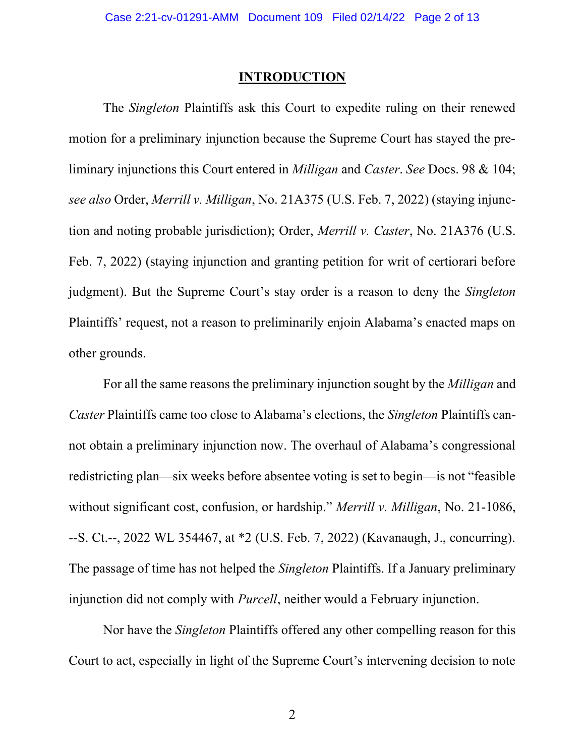#### INTRODUCTION

The Singleton Plaintiffs ask this Court to expedite ruling on their renewed motion for a preliminary injunction because the Supreme Court has stayed the preliminary injunctions this Court entered in Milligan and Caster. See Docs. 98 & 104; see also Order, Merrill v. Milligan, No. 21A375 (U.S. Feb. 7, 2022) (staying injunction and noting probable jurisdiction); Order, Merrill v. Caster, No. 21A376 (U.S. Feb. 7, 2022) (staying injunction and granting petition for writ of certiorari before judgment). But the Supreme Court's stay order is a reason to deny the Singleton Plaintiffs' request, not a reason to preliminarily enjoin Alabama's enacted maps on other grounds.

For all the same reasons the preliminary injunction sought by the Milligan and Caster Plaintiffs came too close to Alabama's elections, the Singleton Plaintiffs cannot obtain a preliminary injunction now. The overhaul of Alabama's congressional redistricting plan—six weeks before absentee voting is set to begin—is not "feasible without significant cost, confusion, or hardship." Merrill v. Milligan, No. 21-1086, --S. Ct.--, 2022 WL 354467, at \*2 (U.S. Feb. 7, 2022) (Kavanaugh, J., concurring). The passage of time has not helped the *Singleton* Plaintiffs. If a January preliminary injunction did not comply with *Purcell*, neither would a February injunction.

Nor have the Singleton Plaintiffs offered any other compelling reason for this Court to act, especially in light of the Supreme Court's intervening decision to note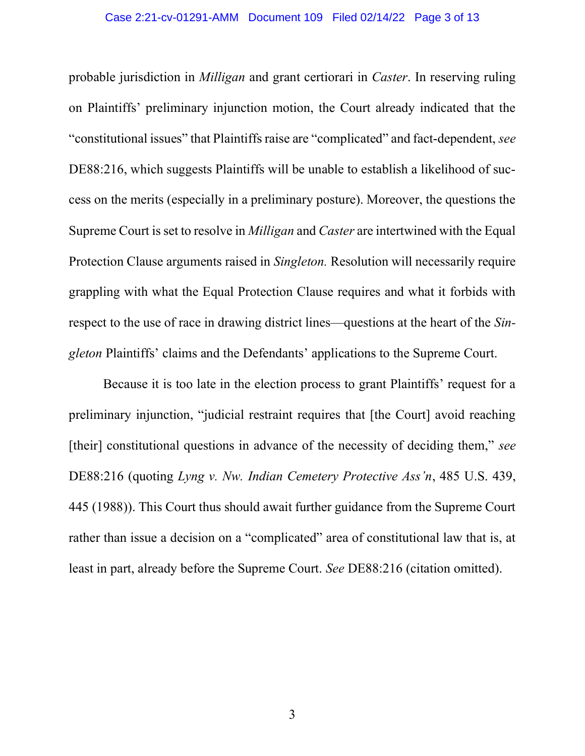### Case 2:21-cv-01291-AMM Document 109 Filed 02/14/22 Page 3 of 13

probable jurisdiction in Milligan and grant certiorari in Caster. In reserving ruling on Plaintiffs' preliminary injunction motion, the Court already indicated that the "constitutional issues" that Plaintiffs raise are "complicated" and fact-dependent, see DE88:216, which suggests Plaintiffs will be unable to establish a likelihood of success on the merits (especially in a preliminary posture). Moreover, the questions the Supreme Court is set to resolve in Milligan and Caster are intertwined with the Equal Protection Clause arguments raised in Singleton. Resolution will necessarily require grappling with what the Equal Protection Clause requires and what it forbids with respect to the use of race in drawing district lines—questions at the heart of the Singleton Plaintiffs' claims and the Defendants' applications to the Supreme Court.

Because it is too late in the election process to grant Plaintiffs' request for a preliminary injunction, "judicial restraint requires that [the Court] avoid reaching [their] constitutional questions in advance of the necessity of deciding them," see DE88:216 (quoting Lyng v. Nw. Indian Cemetery Protective Ass'n, 485 U.S. 439, 445 (1988)). This Court thus should await further guidance from the Supreme Court rather than issue a decision on a "complicated" area of constitutional law that is, at least in part, already before the Supreme Court. See DE88:216 (citation omitted).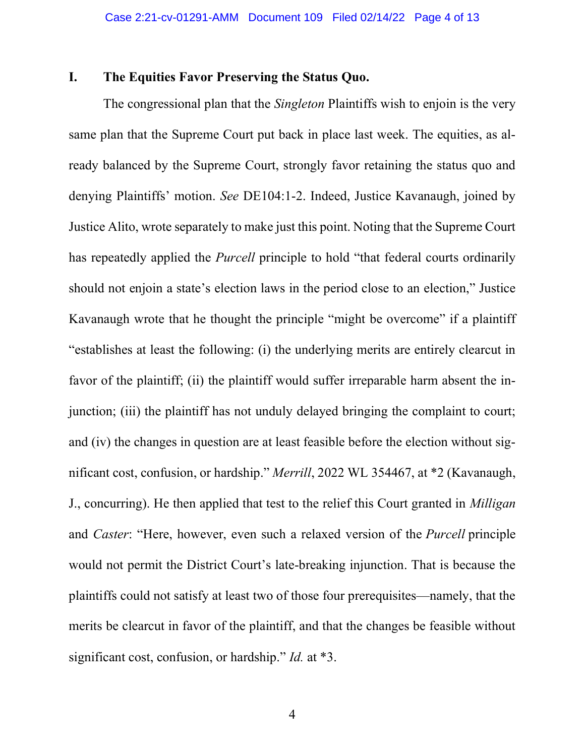### I. The Equities Favor Preserving the Status Quo.

The congressional plan that the *Singleton* Plaintiffs wish to enjoin is the very same plan that the Supreme Court put back in place last week. The equities, as already balanced by the Supreme Court, strongly favor retaining the status quo and denying Plaintiffs' motion. See DE104:1-2. Indeed, Justice Kavanaugh, joined by Justice Alito, wrote separately to make just this point. Noting that the Supreme Court has repeatedly applied the *Purcell* principle to hold "that federal courts ordinarily should not enjoin a state's election laws in the period close to an election," Justice Kavanaugh wrote that he thought the principle "might be overcome" if a plaintiff "establishes at least the following: (i) the underlying merits are entirely clearcut in favor of the plaintiff; (ii) the plaintiff would suffer irreparable harm absent the injunction; (iii) the plaintiff has not unduly delayed bringing the complaint to court; and (iv) the changes in question are at least feasible before the election without significant cost, confusion, or hardship." Merrill, 2022 WL 354467, at \*2 (Kavanaugh, J., concurring). He then applied that test to the relief this Court granted in *Milligan* and Caster: "Here, however, even such a relaxed version of the Purcell principle would not permit the District Court's late-breaking injunction. That is because the plaintiffs could not satisfy at least two of those four prerequisites—namely, that the merits be clearcut in favor of the plaintiff, and that the changes be feasible without significant cost, confusion, or hardship." *Id.* at \*3.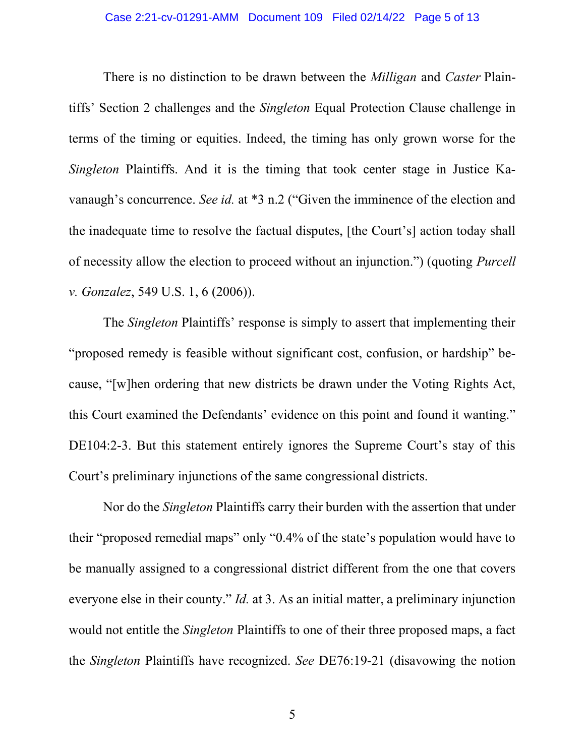### Case 2:21-cv-01291-AMM Document 109 Filed 02/14/22 Page 5 of 13

There is no distinction to be drawn between the *Milligan* and *Caster* Plaintiffs' Section 2 challenges and the Singleton Equal Protection Clause challenge in terms of the timing or equities. Indeed, the timing has only grown worse for the Singleton Plaintiffs. And it is the timing that took center stage in Justice Kavanaugh's concurrence. See id. at \*3 n.2 ("Given the imminence of the election and the inadequate time to resolve the factual disputes, [the Court's] action today shall of necessity allow the election to proceed without an injunction.") (quoting Purcell v. Gonzalez, 549 U.S. 1, 6 (2006)).

The Singleton Plaintiffs' response is simply to assert that implementing their "proposed remedy is feasible without significant cost, confusion, or hardship" because, "[w]hen ordering that new districts be drawn under the Voting Rights Act, this Court examined the Defendants' evidence on this point and found it wanting." DE104:2-3. But this statement entirely ignores the Supreme Court's stay of this Court's preliminary injunctions of the same congressional districts.

Nor do the Singleton Plaintiffs carry their burden with the assertion that under their "proposed remedial maps" only "0.4% of the state's population would have to be manually assigned to a congressional district different from the one that covers everyone else in their county." *Id.* at 3. As an initial matter, a preliminary injunction would not entitle the Singleton Plaintiffs to one of their three proposed maps, a fact the Singleton Plaintiffs have recognized. See DE76:19-21 (disavowing the notion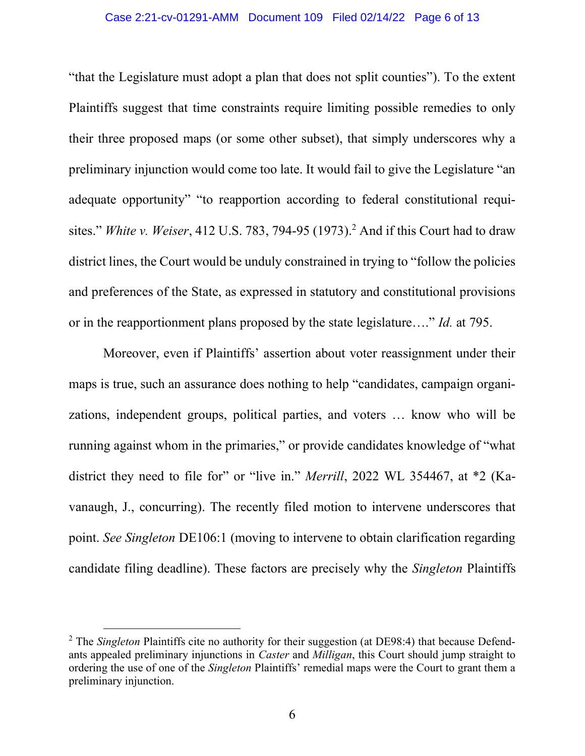#### Case 2:21-cv-01291-AMM Document 109 Filed 02/14/22 Page 6 of 13

"that the Legislature must adopt a plan that does not split counties"). To the extent Plaintiffs suggest that time constraints require limiting possible remedies to only their three proposed maps (or some other subset), that simply underscores why a preliminary injunction would come too late. It would fail to give the Legislature "an adequate opportunity" "to reapportion according to federal constitutional requisites." White v. Weiser, 412 U.S. 783, 794-95 (1973).<sup>2</sup> And if this Court had to draw district lines, the Court would be unduly constrained in trying to "follow the policies and preferences of the State, as expressed in statutory and constitutional provisions or in the reapportionment plans proposed by the state legislature...." Id. at 795.

Moreover, even if Plaintiffs' assertion about voter reassignment under their maps is true, such an assurance does nothing to help "candidates, campaign organizations, independent groups, political parties, and voters … know who will be running against whom in the primaries," or provide candidates knowledge of "what district they need to file for" or "live in." Merrill, 2022 WL 354467, at \*2 (Kavanaugh, J., concurring). The recently filed motion to intervene underscores that point. See Singleton DE106:1 (moving to intervene to obtain clarification regarding candidate filing deadline). These factors are precisely why the Singleton Plaintiffs

<sup>&</sup>lt;sup>2</sup> The Singleton Plaintiffs cite no authority for their suggestion (at DE98:4) that because Defendants appealed preliminary injunctions in Caster and Milligan, this Court should jump straight to ordering the use of one of the Singleton Plaintiffs' remedial maps were the Court to grant them a preliminary injunction.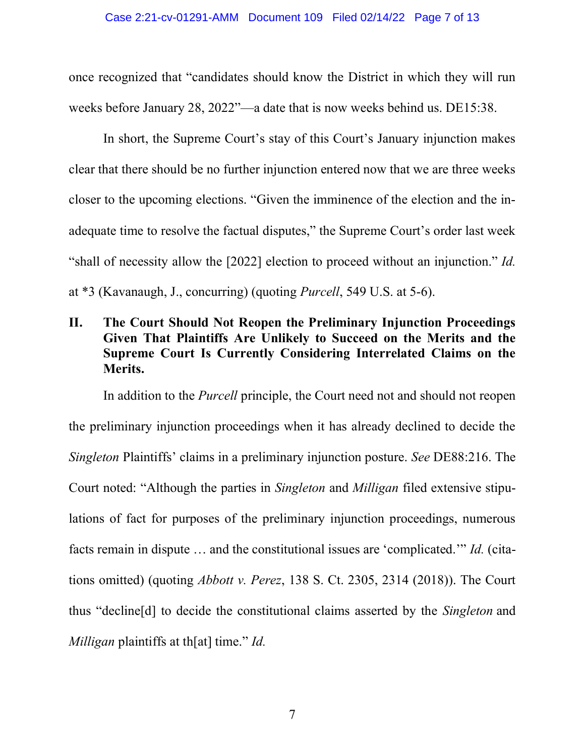once recognized that "candidates should know the District in which they will run weeks before January 28, 2022"—a date that is now weeks behind us. DE15:38.

In short, the Supreme Court's stay of this Court's January injunction makes clear that there should be no further injunction entered now that we are three weeks closer to the upcoming elections. "Given the imminence of the election and the inadequate time to resolve the factual disputes," the Supreme Court's order last week "shall of necessity allow the [2022] election to proceed without an injunction." Id. at \*3 (Kavanaugh, J., concurring) (quoting Purcell, 549 U.S. at 5-6).

## II. The Court Should Not Reopen the Preliminary Injunction Proceedings Given That Plaintiffs Are Unlikely to Succeed on the Merits and the Supreme Court Is Currently Considering Interrelated Claims on the Merits.

In addition to the *Purcell* principle, the Court need not and should not reopen the preliminary injunction proceedings when it has already declined to decide the Singleton Plaintiffs' claims in a preliminary injunction posture. See DE88:216. The Court noted: "Although the parties in Singleton and Milligan filed extensive stipulations of fact for purposes of the preliminary injunction proceedings, numerous facts remain in dispute … and the constitutional issues are 'complicated.'" Id. (citations omitted) (quoting Abbott v. Perez, 138 S. Ct. 2305, 2314 (2018)). The Court thus "decline[d] to decide the constitutional claims asserted by the Singleton and Milligan plaintiffs at th[at] time." *Id.*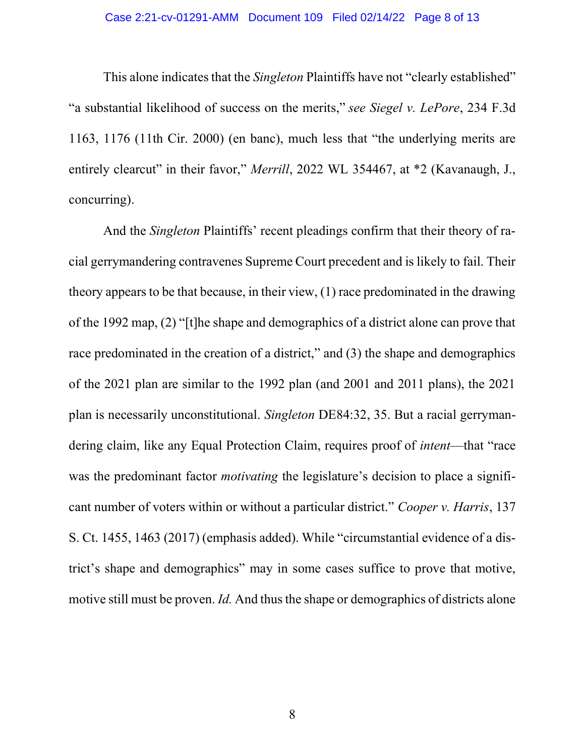### Case 2:21-cv-01291-AMM Document 109 Filed 02/14/22 Page 8 of 13

This alone indicates that the *Singleton* Plaintiffs have not "clearly established" "a substantial likelihood of success on the merits," see Siegel v. LePore, 234 F.3d 1163, 1176 (11th Cir. 2000) (en banc), much less that "the underlying merits are entirely clearcut" in their favor," Merrill, 2022 WL 354467, at \*2 (Kavanaugh, J., concurring).

And the Singleton Plaintiffs' recent pleadings confirm that their theory of racial gerrymandering contravenes Supreme Court precedent and is likely to fail. Their theory appears to be that because, in their view, (1) race predominated in the drawing of the 1992 map, (2) "[t]he shape and demographics of a district alone can prove that race predominated in the creation of a district," and (3) the shape and demographics of the 2021 plan are similar to the 1992 plan (and 2001 and 2011 plans), the 2021 plan is necessarily unconstitutional. Singleton DE84:32, 35. But a racial gerrymandering claim, like any Equal Protection Claim, requires proof of intent—that "race was the predominant factor *motivating* the legislature's decision to place a significant number of voters within or without a particular district." Cooper v. Harris, 137 S. Ct. 1455, 1463 (2017) (emphasis added). While "circumstantial evidence of a district's shape and demographics" may in some cases suffice to prove that motive, motive still must be proven. Id. And thus the shape or demographics of districts alone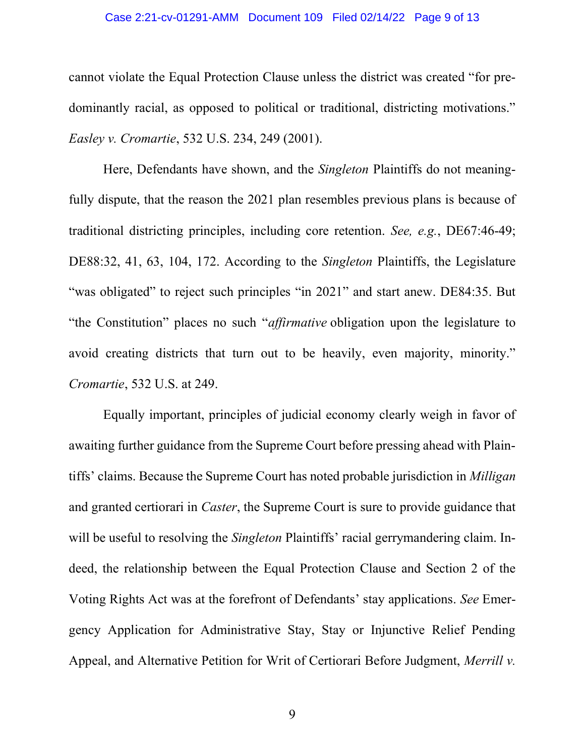### Case 2:21-cv-01291-AMM Document 109 Filed 02/14/22 Page 9 of 13

cannot violate the Equal Protection Clause unless the district was created "for predominantly racial, as opposed to political or traditional, districting motivations." Easley v. Cromartie, 532 U.S. 234, 249 (2001).

Here, Defendants have shown, and the Singleton Plaintiffs do not meaningfully dispute, that the reason the 2021 plan resembles previous plans is because of traditional districting principles, including core retention. See, e.g., DE67:46-49; DE88:32, 41, 63, 104, 172. According to the *Singleton* Plaintiffs, the Legislature "was obligated" to reject such principles "in 2021" and start anew. DE84:35. But "the Constitution" places no such "affirmative obligation upon the legislature to avoid creating districts that turn out to be heavily, even majority, minority." Cromartie, 532 U.S. at 249.

Equally important, principles of judicial economy clearly weigh in favor of awaiting further guidance from the Supreme Court before pressing ahead with Plaintiffs' claims. Because the Supreme Court has noted probable jurisdiction in Milligan and granted certiorari in Caster, the Supreme Court is sure to provide guidance that will be useful to resolving the *Singleton* Plaintiffs' racial gerrymandering claim. Indeed, the relationship between the Equal Protection Clause and Section 2 of the Voting Rights Act was at the forefront of Defendants' stay applications. See Emergency Application for Administrative Stay, Stay or Injunctive Relief Pending Appeal, and Alternative Petition for Writ of Certiorari Before Judgment, Merrill v.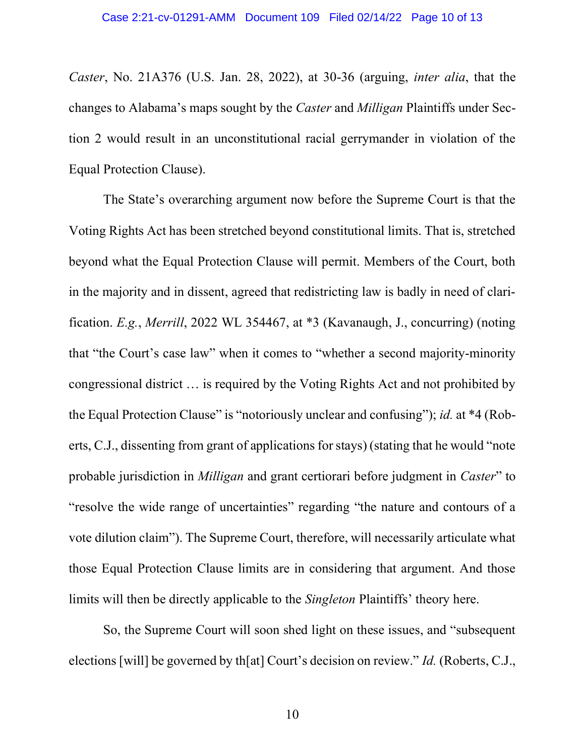Caster, No. 21A376 (U.S. Jan. 28, 2022), at 30-36 (arguing, inter alia, that the changes to Alabama's maps sought by the Caster and Milligan Plaintiffs under Section 2 would result in an unconstitutional racial gerrymander in violation of the Equal Protection Clause).

The State's overarching argument now before the Supreme Court is that the Voting Rights Act has been stretched beyond constitutional limits. That is, stretched beyond what the Equal Protection Clause will permit. Members of the Court, both in the majority and in dissent, agreed that redistricting law is badly in need of clarification. E.g., Merrill, 2022 WL 354467, at \*3 (Kavanaugh, J., concurring) (noting that "the Court's case law" when it comes to "whether a second majority-minority congressional district … is required by the Voting Rights Act and not prohibited by the Equal Protection Clause" is "notoriously unclear and confusing"); id. at \*4 (Roberts, C.J., dissenting from grant of applications for stays) (stating that he would "note probable jurisdiction in *Milligan* and grant certiorari before judgment in *Caster*" to "resolve the wide range of uncertainties" regarding "the nature and contours of a vote dilution claim"). The Supreme Court, therefore, will necessarily articulate what those Equal Protection Clause limits are in considering that argument. And those limits will then be directly applicable to the Singleton Plaintiffs' theory here.

So, the Supreme Court will soon shed light on these issues, and "subsequent elections [will] be governed by th[at] Court's decision on review." Id. (Roberts, C.J.,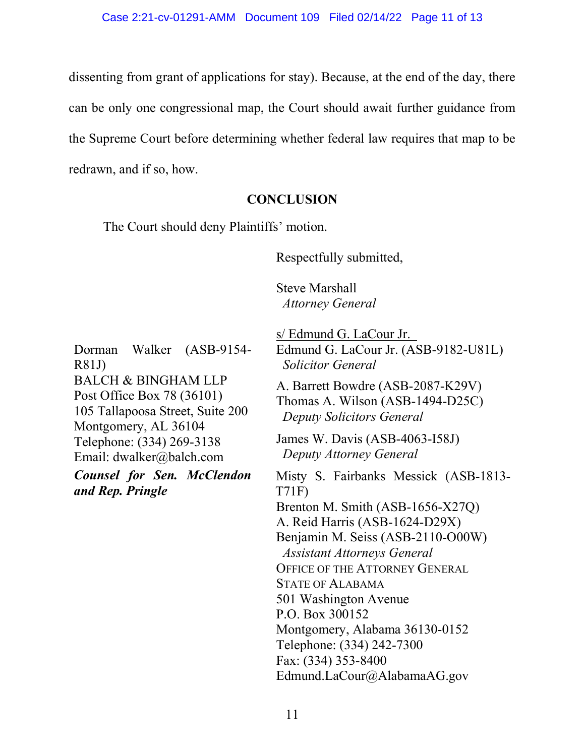dissenting from grant of applications for stay). Because, at the end of the day, there can be only one congressional map, the Court should await further guidance from the Supreme Court before determining whether federal law requires that map to be redrawn, and if so, how.

### **CONCLUSION**

The Court should deny Plaintiffs' motion.

Respectfully submitted,

Steve Marshall Attorney General

Dorman Walker (ASB-9154- R81J) BALCH & BINGHAM LLP

Post Office Box 78 (36101) 105 Tallapoosa Street, Suite 200 Montgomery, AL 36104 Telephone: (334) 269-3138 Email: dwalker@balch.com

Counsel for Sen. McClendon and Rep. Pringle

s/ Edmund G. LaCour Jr. Edmund G. LaCour Jr. (ASB-9182-U81L) Solicitor General A. Barrett Bowdre (ASB-2087-K29V) Thomas A. Wilson (ASB-1494-D25C)

Deputy Solicitors General

James W. Davis (ASB-4063-I58J) Deputy Attorney General

Misty S. Fairbanks Messick (ASB-1813- T71F) Brenton M. Smith (ASB-1656-X27Q) A. Reid Harris (ASB-1624-D29X) Benjamin M. Seiss (ASB-2110-O00W) Assistant Attorneys General OFFICE OF THE ATTORNEY GENERAL STATE OF ALABAMA 501 Washington Avenue P.O. Box 300152

Montgomery, Alabama 36130-0152 Telephone: (334) 242-7300

Fax: (334) 353-8400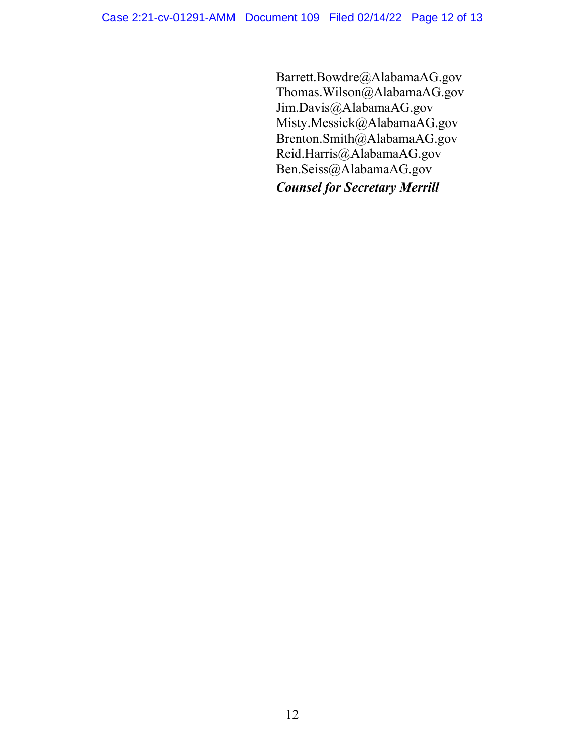Barrett.Bowdre@AlabamaAG.gov Thomas.Wilson@AlabamaAG.gov Jim.Davis@AlabamaAG.gov Misty.Messick@AlabamaAG.gov Brenton.Smith@AlabamaAG.gov Reid.Harris@AlabamaAG.gov Ben.Seiss@AlabamaAG.gov

Counsel for Secretary Merrill